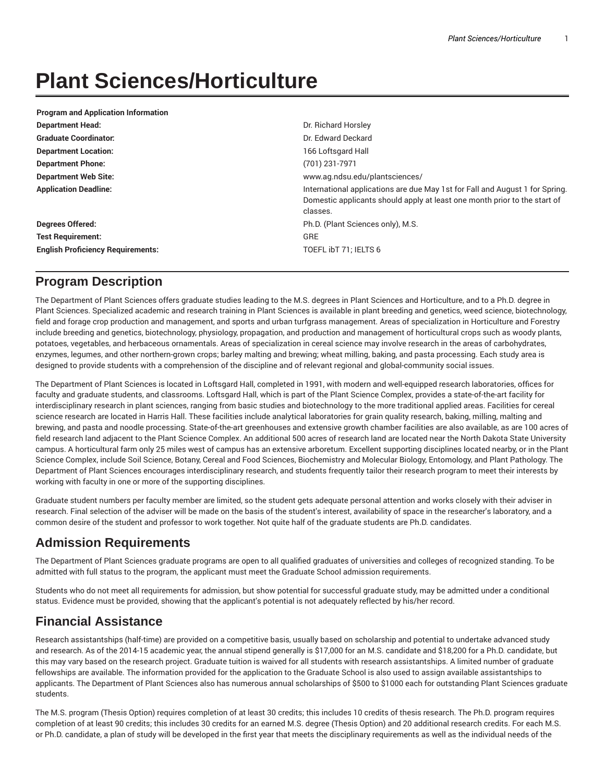# **Plant Sciences/Horticulture**

| <b>Program and Application Information</b> |                                                                                                                                                                       |
|--------------------------------------------|-----------------------------------------------------------------------------------------------------------------------------------------------------------------------|
| <b>Department Head:</b>                    | Dr. Richard Horsley                                                                                                                                                   |
| <b>Graduate Coordinator:</b>               | Dr. Edward Deckard                                                                                                                                                    |
| <b>Department Location:</b>                | 166 Loftsgard Hall                                                                                                                                                    |
| <b>Department Phone:</b>                   | (701) 231-7971                                                                                                                                                        |
| <b>Department Web Site:</b>                | www.ag.ndsu.edu/plantsciences/                                                                                                                                        |
| <b>Application Deadline:</b>               | International applications are due May 1st for Fall and August 1 for Spring.<br>Domestic applicants should apply at least one month prior to the start of<br>classes. |
| <b>Degrees Offered:</b>                    | Ph.D. (Plant Sciences only), M.S.                                                                                                                                     |
| <b>Test Requirement:</b>                   | <b>GRE</b>                                                                                                                                                            |
| <b>English Proficiency Requirements:</b>   | TOEFL ibT 71; IELTS 6                                                                                                                                                 |

## **Program Description**

The Department of Plant Sciences offers graduate studies leading to the M.S. degrees in Plant Sciences and Horticulture, and to a Ph.D. degree in Plant Sciences. Specialized academic and research training in Plant Sciences is available in plant breeding and genetics, weed science, biotechnology, field and forage crop production and management, and sports and urban turfgrass management. Areas of specialization in Horticulture and Forestry include breeding and genetics, biotechnology, physiology, propagation, and production and management of horticultural crops such as woody plants, potatoes, vegetables, and herbaceous ornamentals. Areas of specialization in cereal science may involve research in the areas of carbohydrates, enzymes, legumes, and other northern-grown crops; barley malting and brewing; wheat milling, baking, and pasta processing. Each study area is designed to provide students with a comprehension of the discipline and of relevant regional and global-community social issues.

The Department of Plant Sciences is located in Loftsgard Hall, completed in 1991, with modern and well-equipped research laboratories, offices for faculty and graduate students, and classrooms. Loftsgard Hall, which is part of the Plant Science Complex, provides a state-of-the-art facility for interdisciplinary research in plant sciences, ranging from basic studies and biotechnology to the more traditional applied areas. Facilities for cereal science research are located in Harris Hall. These facilities include analytical laboratories for grain quality research, baking, milling, malting and brewing, and pasta and noodle processing. State-of-the-art greenhouses and extensive growth chamber facilities are also available, as are 100 acres of field research land adjacent to the Plant Science Complex. An additional 500 acres of research land are located near the North Dakota State University campus. A horticultural farm only 25 miles west of campus has an extensive arboretum. Excellent supporting disciplines located nearby, or in the Plant Science Complex, include Soil Science, Botany, Cereal and Food Sciences, Biochemistry and Molecular Biology, Entomology, and Plant Pathology. The Department of Plant Sciences encourages interdisciplinary research, and students frequently tailor their research program to meet their interests by working with faculty in one or more of the supporting disciplines.

Graduate student numbers per faculty member are limited, so the student gets adequate personal attention and works closely with their adviser in research. Final selection of the adviser will be made on the basis of the student's interest, availability of space in the researcher's laboratory, and a common desire of the student and professor to work together. Not quite half of the graduate students are Ph.D. candidates.

## **Admission Requirements**

The Department of Plant Sciences graduate programs are open to all qualified graduates of universities and colleges of recognized standing. To be admitted with full status to the program, the applicant must meet the Graduate School admission requirements.

Students who do not meet all requirements for admission, but show potential for successful graduate study, may be admitted under a conditional status. Evidence must be provided, showing that the applicant's potential is not adequately reflected by his/her record.

# **Financial Assistance**

Research assistantships (half-time) are provided on a competitive basis, usually based on scholarship and potential to undertake advanced study and research. As of the 2014-15 academic year, the annual stipend generally is \$17,000 for an M.S. candidate and \$18,200 for a Ph.D. candidate, but this may vary based on the research project. Graduate tuition is waived for all students with research assistantships. A limited number of graduate fellowships are available. The information provided for the application to the Graduate School is also used to assign available assistantships to applicants. The Department of Plant Sciences also has numerous annual scholarships of \$500 to \$1000 each for outstanding Plant Sciences graduate students.

The M.S. program (Thesis Option) requires completion of at least 30 credits; this includes 10 credits of thesis research. The Ph.D. program requires completion of at least 90 credits; this includes 30 credits for an earned M.S. degree (Thesis Option) and 20 additional research credits. For each M.S. or Ph.D. candidate, a plan of study will be developed in the first year that meets the disciplinary requirements as well as the individual needs of the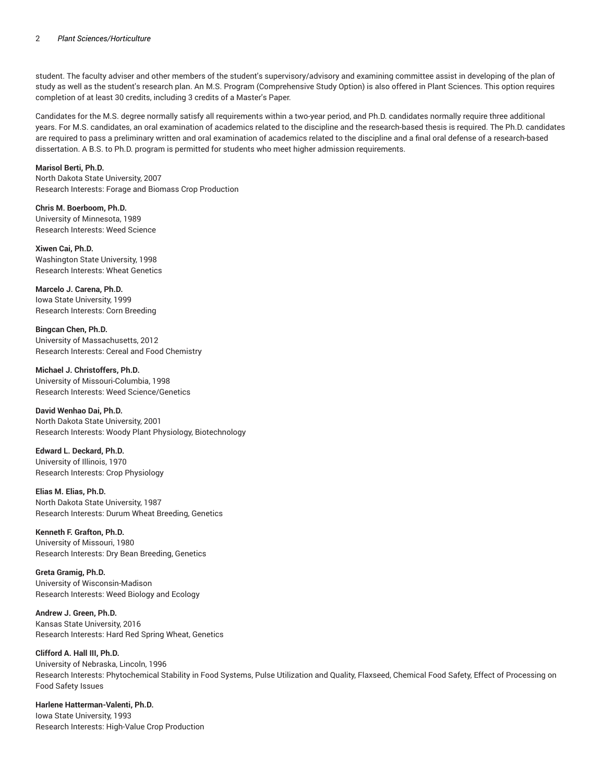student. The faculty adviser and other members of the student's supervisory/advisory and examining committee assist in developing of the plan of study as well as the student's research plan. An M.S. Program (Comprehensive Study Option) is also offered in Plant Sciences. This option requires completion of at least 30 credits, including 3 credits of a Master's Paper.

Candidates for the M.S. degree normally satisfy all requirements within a two-year period, and Ph.D. candidates normally require three additional years. For M.S. candidates, an oral examination of academics related to the discipline and the research-based thesis is required. The Ph.D. candidates are required to pass a preliminary written and oral examination of academics related to the discipline and a final oral defense of a research-based dissertation. A B.S. to Ph.D. program is permitted for students who meet higher admission requirements.

#### **Marisol Berti, Ph.D.**

North Dakota State University, 2007 Research Interests: Forage and Biomass Crop Production

**Chris M. Boerboom, Ph.D.** University of Minnesota, 1989 Research Interests: Weed Science

**Xiwen Cai, Ph.D.** Washington State University, 1998 Research Interests: Wheat Genetics

**Marcelo J. Carena, Ph.D.** Iowa State University, 1999 Research Interests: Corn Breeding

**Bingcan Chen, Ph.D.** University of Massachusetts, 2012 Research Interests: Cereal and Food Chemistry

**Michael J. Christoffers, Ph.D.** University of Missouri-Columbia, 1998 Research Interests: Weed Science/Genetics

**David Wenhao Dai, Ph.D.** North Dakota State University, 2001 Research Interests: Woody Plant Physiology, Biotechnology

**Edward L. Deckard, Ph.D.** University of Illinois, 1970 Research Interests: Crop Physiology

**Elias M. Elias, Ph.D.** North Dakota State University, 1987 Research Interests: Durum Wheat Breeding, Genetics

**Kenneth F. Grafton, Ph.D.** University of Missouri, 1980 Research Interests: Dry Bean Breeding, Genetics

**Greta Gramig, Ph.D.** University of Wisconsin-Madison Research Interests: Weed Biology and Ecology

**Andrew J. Green, Ph.D.** Kansas State University, 2016 Research Interests: Hard Red Spring Wheat, Genetics

#### **Clifford A. Hall III, Ph.D.**

University of Nebraska, Lincoln, 1996 Research Interests: Phytochemical Stability in Food Systems, Pulse Utilization and Quality, Flaxseed, Chemical Food Safety, Effect of Processing on Food Safety Issues

**Harlene Hatterman-Valenti, Ph.D.** Iowa State University, 1993 Research Interests: High-Value Crop Production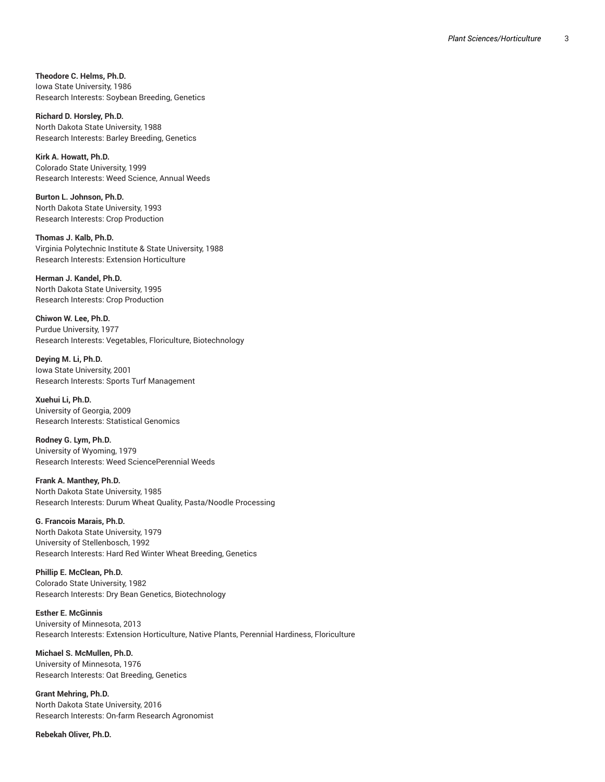**Theodore C. Helms, Ph.D.** Iowa State University, 1986 Research Interests: Soybean Breeding, Genetics

**Richard D. Horsley, Ph.D.** North Dakota State University, 1988 Research Interests: Barley Breeding, Genetics

**Kirk A. Howatt, Ph.D.** Colorado State University, 1999 Research Interests: Weed Science, Annual Weeds

**Burton L. Johnson, Ph.D.** North Dakota State University, 1993 Research Interests: Crop Production

**Thomas J. Kalb, Ph.D.** Virginia Polytechnic Institute & State University, 1988 Research Interests: Extension Horticulture

**Herman J. Kandel, Ph.D.** North Dakota State University, 1995 Research Interests: Crop Production

**Chiwon W. Lee, Ph.D.** Purdue University, 1977 Research Interests: Vegetables, Floriculture, Biotechnology

**Deying M. Li, Ph.D.** Iowa State University, 2001 Research Interests: Sports Turf Management

**Xuehui Li, Ph.D.** University of Georgia, 2009 Research Interests: Statistical Genomics

**Rodney G. Lym, Ph.D.** University of Wyoming, 1979 Research Interests: Weed SciencePerennial Weeds

**Frank A. Manthey, Ph.D.** North Dakota State University, 1985 Research Interests: Durum Wheat Quality, Pasta/Noodle Processing

**G. Francois Marais, Ph.D.** North Dakota State University, 1979 University of Stellenbosch, 1992 Research Interests: Hard Red Winter Wheat Breeding, Genetics

**Phillip E. McClean, Ph.D.** Colorado State University, 1982 Research Interests: Dry Bean Genetics, Biotechnology

**Esther E. McGinnis** University of Minnesota, 2013 Research Interests: Extension Horticulture, Native Plants, Perennial Hardiness, Floriculture

**Michael S. McMullen, Ph.D.** University of Minnesota, 1976 Research Interests: Oat Breeding, Genetics

**Grant Mehring, Ph.D.** North Dakota State University, 2016 Research Interests: On-farm Research Agronomist

**Rebekah Oliver, Ph.D.**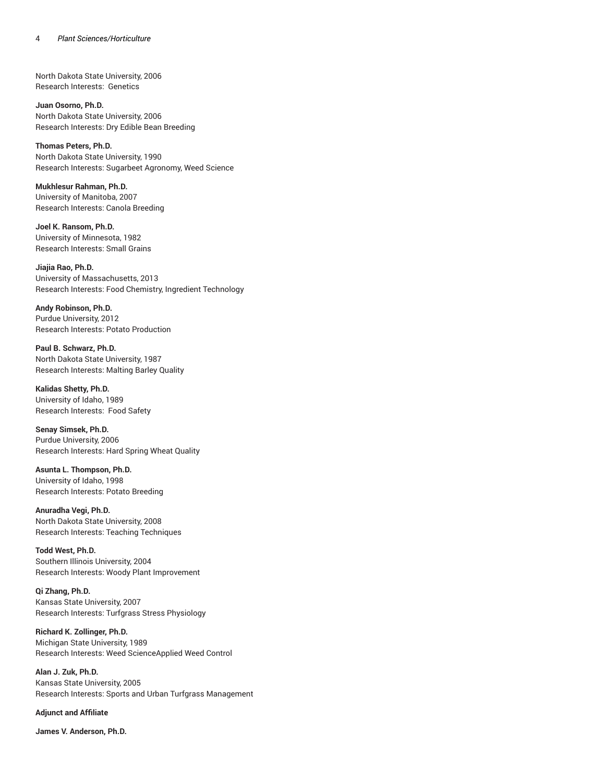North Dakota State University, 2006 Research Interests: Genetics

**Juan Osorno, Ph.D.** North Dakota State University, 2006 Research Interests: Dry Edible Bean Breeding

**Thomas Peters, Ph.D.** North Dakota State University, 1990 Research Interests: Sugarbeet Agronomy, Weed Science

**Mukhlesur Rahman, Ph.D.** University of Manitoba, 2007 Research Interests: Canola Breeding

**Joel K. Ransom, Ph.D.** University of Minnesota, 1982 Research Interests: Small Grains

**Jiajia Rao, Ph.D.** University of Massachusetts, 2013 Research Interests: Food Chemistry, Ingredient Technology

**Andy Robinson, Ph.D.** Purdue University, 2012 Research Interests: Potato Production

**Paul B. Schwarz, Ph.D.** North Dakota State University, 1987 Research Interests: Malting Barley Quality

**Kalidas Shetty, Ph.D.** University of Idaho, 1989 Research Interests: Food Safety

**Senay Simsek, Ph.D.** Purdue University, 2006 Research Interests: Hard Spring Wheat Quality

**Asunta L. Thompson, Ph.D.** University of Idaho, 1998 Research Interests: Potato Breeding

**Anuradha Vegi, Ph.D.** North Dakota State University, 2008 Research Interests: Teaching Techniques

**Todd West, Ph.D.** Southern Illinois University, 2004 Research Interests: Woody Plant Improvement

**Qi Zhang, Ph.D.** Kansas State University, 2007 Research Interests: Turfgrass Stress Physiology

**Richard K. Zollinger, Ph.D.** Michigan State University, 1989 Research Interests: Weed ScienceApplied Weed Control

**Alan J. Zuk, Ph.D.** Kansas State University, 2005 Research Interests: Sports and Urban Turfgrass Management

**Adjunct and Affiliate**

**James V. Anderson, Ph.D.**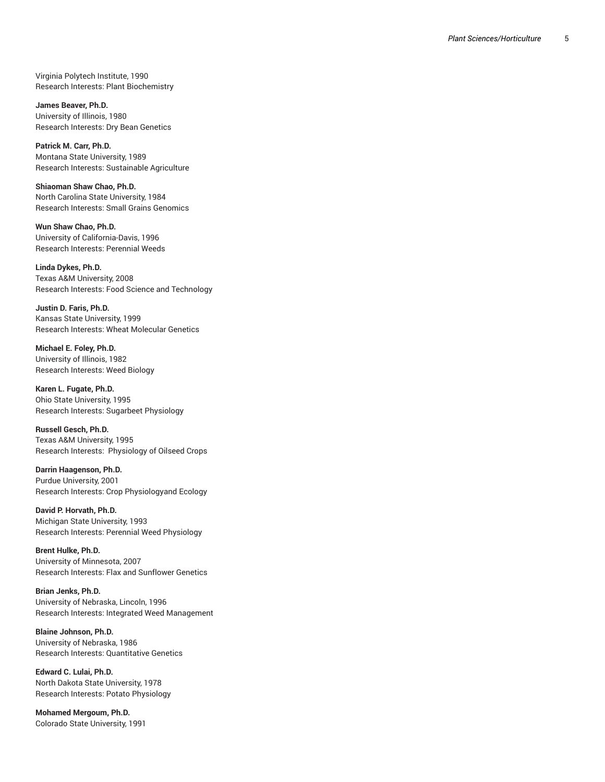Virginia Polytech Institute, 1990 , Research Interests: Plant Biochemistry

**J a m e s B e a v e r, P h . D .** University of Illinois, 1980 , Research Interests: Dry Bean Genetics

Patrick M. Carr, Ph.D. Montana State University, 1989 Research Interests: Sustainable Agriculture

Shiaoman Shaw Chao, Ph.D. North Carolina State University, 1984 Research Interests: Small Grains Genomics

Wun Shaw Chao, Ph.D. University of California-Davis, 1996 , Research Interests: Perennial Weeds

**L i n d a D y k e s , P h . D .** Texas A&M University, 2008 Research Interests: Food Science and Technology

Justin D. Faris, Ph.D. Kansas State University, 1999 Research Interests: Wheat Molecular Genetics

**Michael E. Foley, Ph.D.** University of Illinois, 1982 , Research Interests: Weed Biology

Karen L. Fugate, Ph.D. Ohio State University, 1995 Research Interests: Sugarbeet Physiology

**Russell Gesch, Ph.D.** Texas A&M University, 1995 Research Interests: Physiology of Oilseed Crops

Darrin Haagenson, Ph.D. Purdue University, 2001 Research Interests: Crop Physiologyand Ecology

David P. Horvath, Ph.D. Michigan State University, 1993 Research Interests: Perennial Weed Physiology

Brent Hulke, Ph.D. University of Minnesota, 2007 , Research Interests: Flax and Sunflower Genetics

**B r i a n J e n k s , P h . D .** University of Nebraska, Lincoln, 1996 , , Research Interests: Integrated Weed Management

**Blaine Johnson, Ph.D.** University of Nebraska, 1986 , Research Interests: Quantitative Genetics

**E d w a r d C . L u l a i , P h . D .** North Dakota State University, 1978 Research Interests: Potato Physiology

Mohamed Mergoum, Ph.D. Colorado State University, 1991